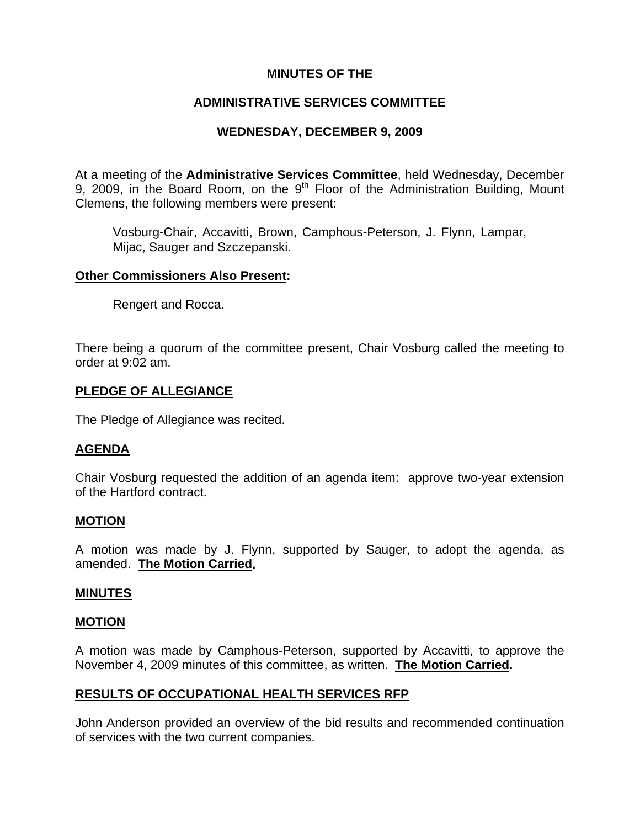# **MINUTES OF THE**

# **ADMINISTRATIVE SERVICES COMMITTEE**

# **WEDNESDAY, DECEMBER 9, 2009**

At a meeting of the **Administrative Services Committee**, held Wednesday, December 9, 2009, in the Board Room, on the  $9<sup>th</sup>$  Floor of the Administration Building, Mount Clemens, the following members were present:

Vosburg-Chair, Accavitti, Brown, Camphous-Peterson, J. Flynn, Lampar, Mijac, Sauger and Szczepanski.

#### **Other Commissioners Also Present:**

Rengert and Rocca.

There being a quorum of the committee present, Chair Vosburg called the meeting to order at 9:02 am.

#### **PLEDGE OF ALLEGIANCE**

The Pledge of Allegiance was recited.

#### **AGENDA**

Chair Vosburg requested the addition of an agenda item: approve two-year extension of the Hartford contract.

#### **MOTION**

A motion was made by J. Flynn, supported by Sauger, to adopt the agenda, as amended. **The Motion Carried.** 

#### **MINUTES**

#### **MOTION**

A motion was made by Camphous-Peterson, supported by Accavitti, to approve the November 4, 2009 minutes of this committee, as written. **The Motion Carried.** 

# **RESULTS OF OCCUPATIONAL HEALTH SERVICES RFP**

John Anderson provided an overview of the bid results and recommended continuation of services with the two current companies.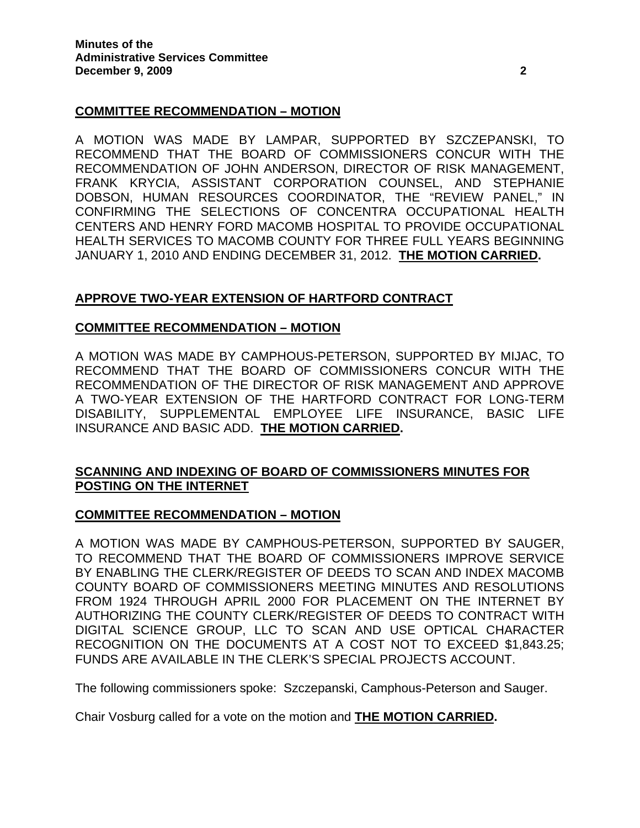# **COMMITTEE RECOMMENDATION – MOTION**

A MOTION WAS MADE BY LAMPAR, SUPPORTED BY SZCZEPANSKI, TO RECOMMEND THAT THE BOARD OF COMMISSIONERS CONCUR WITH THE RECOMMENDATION OF JOHN ANDERSON, DIRECTOR OF RISK MANAGEMENT, FRANK KRYCIA, ASSISTANT CORPORATION COUNSEL, AND STEPHANIE DOBSON, HUMAN RESOURCES COORDINATOR, THE "REVIEW PANEL," IN CONFIRMING THE SELECTIONS OF CONCENTRA OCCUPATIONAL HEALTH CENTERS AND HENRY FORD MACOMB HOSPITAL TO PROVIDE OCCUPATIONAL HEALTH SERVICES TO MACOMB COUNTY FOR THREE FULL YEARS BEGINNING JANUARY 1, 2010 AND ENDING DECEMBER 31, 2012. **THE MOTION CARRIED.** 

# **APPROVE TWO-YEAR EXTENSION OF HARTFORD CONTRACT**

# **COMMITTEE RECOMMENDATION – MOTION**

A MOTION WAS MADE BY CAMPHOUS-PETERSON, SUPPORTED BY MIJAC, TO RECOMMEND THAT THE BOARD OF COMMISSIONERS CONCUR WITH THE RECOMMENDATION OF THE DIRECTOR OF RISK MANAGEMENT AND APPROVE A TWO-YEAR EXTENSION OF THE HARTFORD CONTRACT FOR LONG-TERM DISABILITY, SUPPLEMENTAL EMPLOYEE LIFE INSURANCE, BASIC LIFE INSURANCE AND BASIC ADD. **THE MOTION CARRIED.** 

# **SCANNING AND INDEXING OF BOARD OF COMMISSIONERS MINUTES FOR POSTING ON THE INTERNET**

# **COMMITTEE RECOMMENDATION – MOTION**

A MOTION WAS MADE BY CAMPHOUS-PETERSON, SUPPORTED BY SAUGER, TO RECOMMEND THAT THE BOARD OF COMMISSIONERS IMPROVE SERVICE BY ENABLING THE CLERK/REGISTER OF DEEDS TO SCAN AND INDEX MACOMB COUNTY BOARD OF COMMISSIONERS MEETING MINUTES AND RESOLUTIONS FROM 1924 THROUGH APRIL 2000 FOR PLACEMENT ON THE INTERNET BY AUTHORIZING THE COUNTY CLERK/REGISTER OF DEEDS TO CONTRACT WITH DIGITAL SCIENCE GROUP, LLC TO SCAN AND USE OPTICAL CHARACTER RECOGNITION ON THE DOCUMENTS AT A COST NOT TO EXCEED \$1,843.25; FUNDS ARE AVAILABLE IN THE CLERK'S SPECIAL PROJECTS ACCOUNT.

The following commissioners spoke: Szczepanski, Camphous-Peterson and Sauger.

Chair Vosburg called for a vote on the motion and **THE MOTION CARRIED.**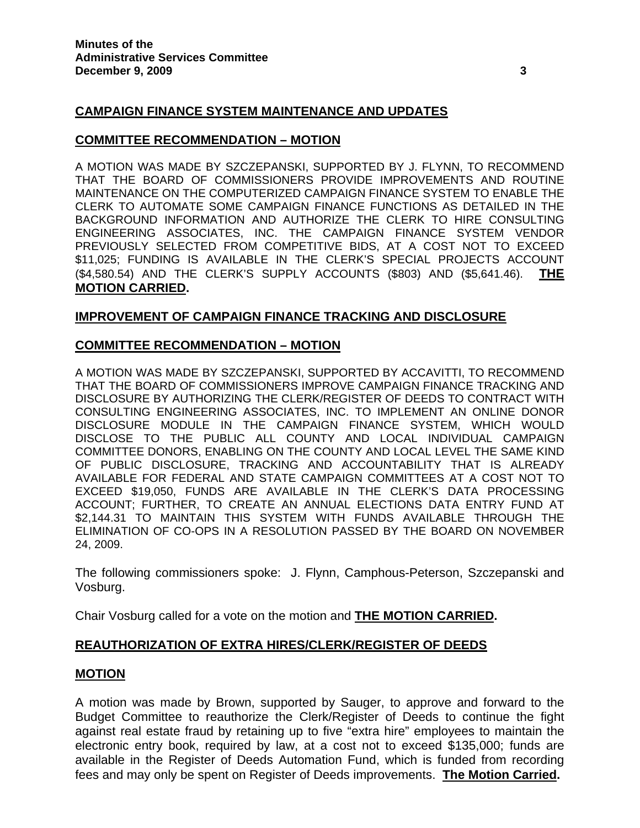# **CAMPAIGN FINANCE SYSTEM MAINTENANCE AND UPDATES**

#### **COMMITTEE RECOMMENDATION – MOTION**

A MOTION WAS MADE BY SZCZEPANSKI, SUPPORTED BY J. FLYNN, TO RECOMMEND THAT THE BOARD OF COMMISSIONERS PROVIDE IMPROVEMENTS AND ROUTINE MAINTENANCE ON THE COMPUTERIZED CAMPAIGN FINANCE SYSTEM TO ENABLE THE CLERK TO AUTOMATE SOME CAMPAIGN FINANCE FUNCTIONS AS DETAILED IN THE BACKGROUND INFORMATION AND AUTHORIZE THE CLERK TO HIRE CONSULTING ENGINEERING ASSOCIATES, INC. THE CAMPAIGN FINANCE SYSTEM VENDOR PREVIOUSLY SELECTED FROM COMPETITIVE BIDS, AT A COST NOT TO EXCEED \$11,025; FUNDING IS AVAILABLE IN THE CLERK'S SPECIAL PROJECTS ACCOUNT (\$4,580.54) AND THE CLERK'S SUPPLY ACCOUNTS (\$803) AND (\$5,641.46). **THE MOTION CARRIED.** 

#### **IMPROVEMENT OF CAMPAIGN FINANCE TRACKING AND DISCLOSURE**

#### **COMMITTEE RECOMMENDATION – MOTION**

A MOTION WAS MADE BY SZCZEPANSKI, SUPPORTED BY ACCAVITTI, TO RECOMMEND THAT THE BOARD OF COMMISSIONERS IMPROVE CAMPAIGN FINANCE TRACKING AND DISCLOSURE BY AUTHORIZING THE CLERK/REGISTER OF DEEDS TO CONTRACT WITH CONSULTING ENGINEERING ASSOCIATES, INC. TO IMPLEMENT AN ONLINE DONOR DISCLOSURE MODULE IN THE CAMPAIGN FINANCE SYSTEM, WHICH WOULD DISCLOSE TO THE PUBLIC ALL COUNTY AND LOCAL INDIVIDUAL CAMPAIGN COMMITTEE DONORS, ENABLING ON THE COUNTY AND LOCAL LEVEL THE SAME KIND OF PUBLIC DISCLOSURE, TRACKING AND ACCOUNTABILITY THAT IS ALREADY AVAILABLE FOR FEDERAL AND STATE CAMPAIGN COMMITTEES AT A COST NOT TO EXCEED \$19,050, FUNDS ARE AVAILABLE IN THE CLERK'S DATA PROCESSING ACCOUNT; FURTHER, TO CREATE AN ANNUAL ELECTIONS DATA ENTRY FUND AT \$2,144.31 TO MAINTAIN THIS SYSTEM WITH FUNDS AVAILABLE THROUGH THE ELIMINATION OF CO-OPS IN A RESOLUTION PASSED BY THE BOARD ON NOVEMBER 24, 2009.

The following commissioners spoke: J. Flynn, Camphous-Peterson, Szczepanski and Vosburg.

Chair Vosburg called for a vote on the motion and **THE MOTION CARRIED.**

#### **REAUTHORIZATION OF EXTRA HIRES/CLERK/REGISTER OF DEEDS**

#### **MOTION**

A motion was made by Brown, supported by Sauger, to approve and forward to the Budget Committee to reauthorize the Clerk/Register of Deeds to continue the fight against real estate fraud by retaining up to five "extra hire" employees to maintain the electronic entry book, required by law, at a cost not to exceed \$135,000; funds are available in the Register of Deeds Automation Fund, which is funded from recording fees and may only be spent on Register of Deeds improvements. **The Motion Carried.**